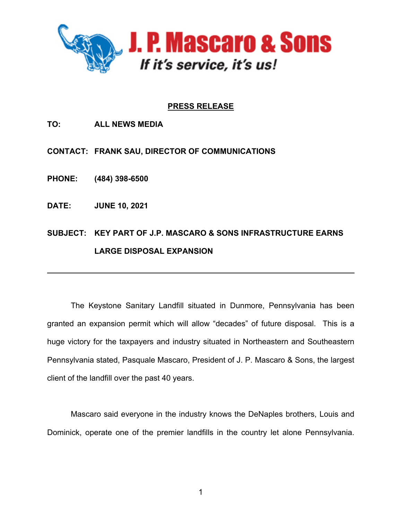

## **PRESS RELEASE**

**TO: ALL NEWS MEDIA**

**CONTACT: FRANK SAU, DIRECTOR OF COMMUNICATIONS**

**PHONE: (484) 398-6500**

**DATE: JUNE 10, 2021**

**SUBJECT: KEY PART OF J.P. MASCARO & SONS INFRASTRUCTURE EARNS LARGE DISPOSAL EXPANSION**

\_\_\_\_\_\_\_\_\_\_\_\_\_\_\_\_\_\_\_\_\_\_\_\_\_\_\_\_\_\_\_\_\_\_\_\_\_\_\_\_\_\_\_\_\_\_\_\_\_\_\_\_\_\_\_\_\_\_\_\_\_\_\_\_\_\_\_\_\_\_\_\_\_\_\_\_\_\_

The Keystone Sanitary Landfill situated in Dunmore, Pennsylvania has been granted an expansion permit which will allow "decades" of future disposal. This is a huge victory for the taxpayers and industry situated in Northeastern and Southeastern Pennsylvania stated, Pasquale Mascaro, President of J. P. Mascaro & Sons, the largest client of the landfill over the past 40 years.

Mascaro said everyone in the industry knows the DeNaples brothers, Louis and Dominick, operate one of the premier landfills in the country let alone Pennsylvania.